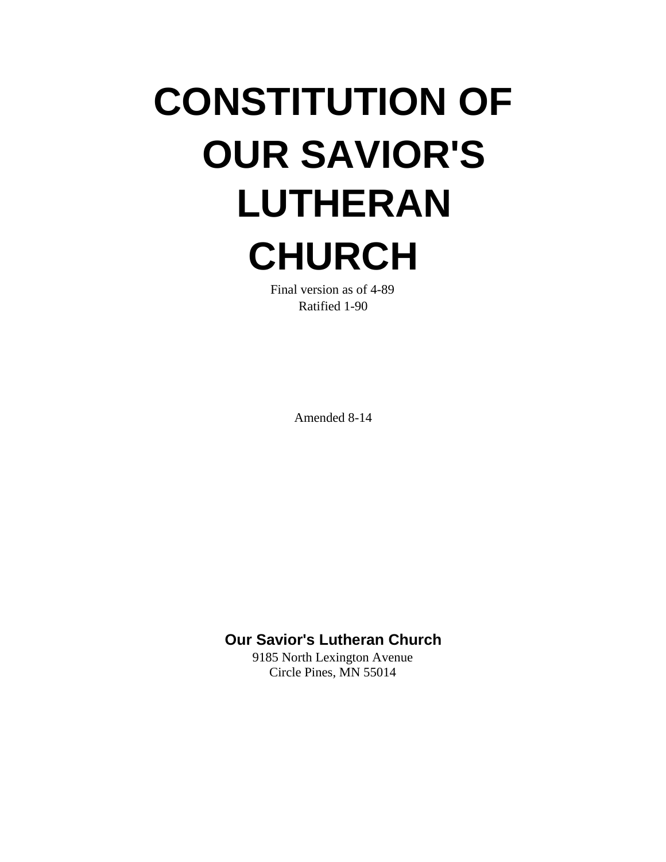# **CONSTITUTION OF OUR SAVIOR'S LUTHERAN CHURCH**

Final version as of 4-89 Ratified 1-90

Amended 8-14

## **Our Savior's Lutheran Church**

9185 North Lexington Avenue Circle Pines, MN 55014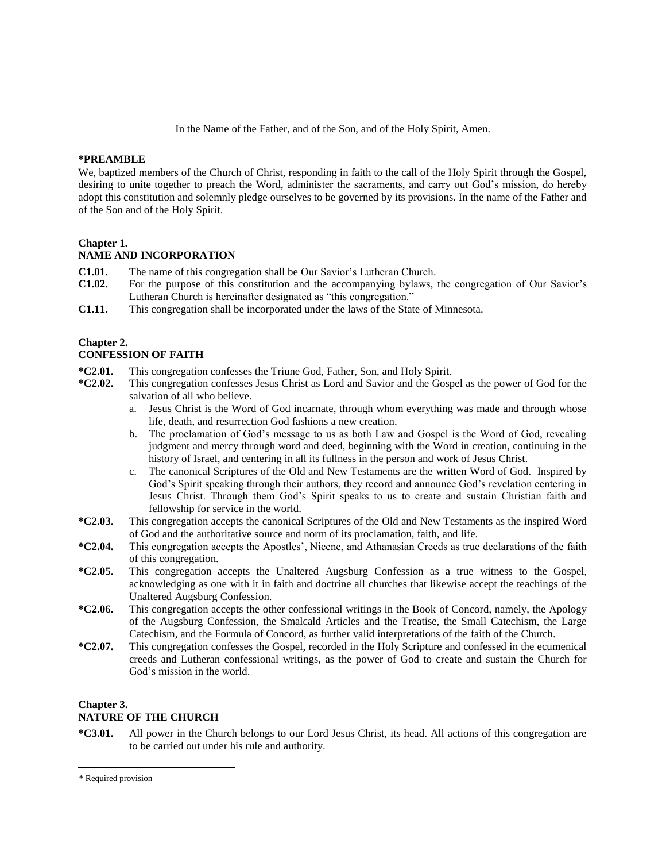In the Name of the Father, and of the Son, and of the Holy Spirit, Amen.

#### **\*PREAMBLE**\*

We, baptized members of the Church of Christ, responding in faith to the call of the Holy Spirit through the Gospel, desiring to unite together to preach the Word, administer the sacraments, and carry out God's mission, do hereby adopt this constitution and solemnly pledge ourselves to be governed by its provisions. In the name of the Father and of the Son and of the Holy Spirit.

#### **Chapter 1.**

#### **NAME AND INCORPORATION**

- **C1.01.** The name of this congregation shall be Our Savior's Lutheran Church.
- **C1.02.** For the purpose of this constitution and the accompanying bylaws, the congregation of Our Savior's Lutheran Church is hereinafter designated as "this congregation."
- **C1.11.** This congregation shall be incorporated under the laws of the State of Minnesota.

#### **Chapter 2.**

#### **CONFESSION OF FAITH**

- **\*C2.01.** This congregation confesses the Triune God, Father, Son, and Holy Spirit.
- **\*C2.02.** This congregation confesses Jesus Christ as Lord and Savior and the Gospel as the power of God for the salvation of all who believe.
	- a. Jesus Christ is the Word of God incarnate, through whom everything was made and through whose life, death, and resurrection God fashions a new creation.
	- b. The proclamation of God's message to us as both Law and Gospel is the Word of God, revealing judgment and mercy through word and deed, beginning with the Word in creation, continuing in the history of Israel, and centering in all its fullness in the person and work of Jesus Christ.
	- c. The canonical Scriptures of the Old and New Testaments are the written Word of God. Inspired by God's Spirit speaking through their authors, they record and announce God's revelation centering in Jesus Christ. Through them God's Spirit speaks to us to create and sustain Christian faith and fellowship for service in the world.
- **\*C2.03.** This congregation accepts the canonical Scriptures of the Old and New Testaments as the inspired Word of God and the authoritative source and norm of its proclamation, faith, and life.
- **\*C2.04.** This congregation accepts the Apostles', Nicene, and Athanasian Creeds as true declarations of the faith of this congregation.
- **\*C2.05.** This congregation accepts the Unaltered Augsburg Confession as a true witness to the Gospel, acknowledging as one with it in faith and doctrine all churches that likewise accept the teachings of the Unaltered Augsburg Confession.
- **\*C2.06.** This congregation accepts the other confessional writings in the Book of Concord, namely, the Apology of the Augsburg Confession, the Smalcald Articles and the Treatise, the Small Catechism, the Large Catechism, and the Formula of Concord, as further valid interpretations of the faith of the Church.
- **\*C2.07.** This congregation confesses the Gospel, recorded in the Holy Scripture and confessed in the ecumenical creeds and Lutheran confessional writings, as the power of God to create and sustain the Church for God's mission in the world.

#### **Chapter 3.**

 $\overline{a}$ 

#### **NATURE OF THE CHURCH**

**\*C3.01.** All power in the Church belongs to our Lord Jesus Christ, its head. All actions of this congregation are to be carried out under his rule and authority.

<sup>\*</sup> Required provision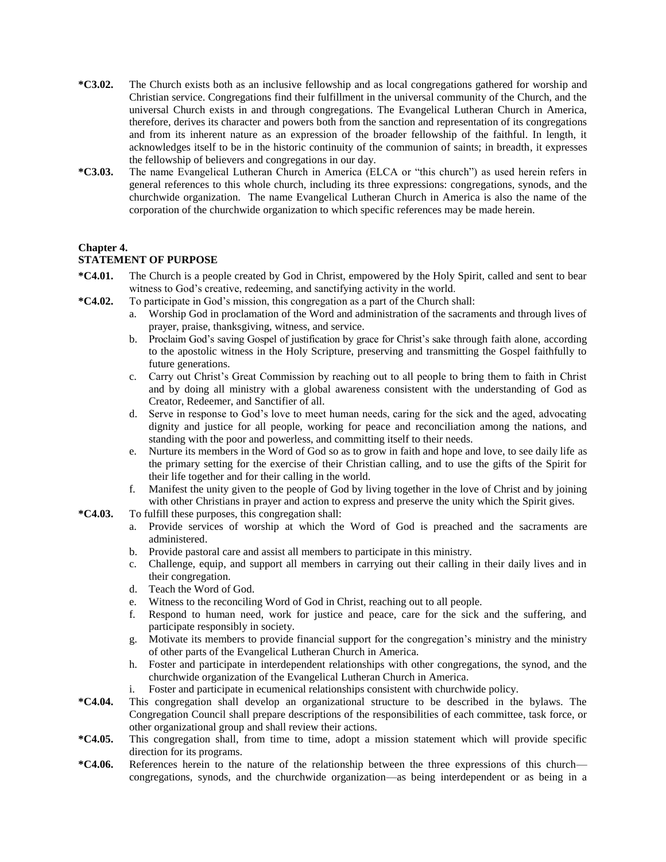- **\*C3.02.** The Church exists both as an inclusive fellowship and as local congregations gathered for worship and Christian service. Congregations find their fulfillment in the universal community of the Church, and the universal Church exists in and through congregations. The Evangelical Lutheran Church in America, therefore, derives its character and powers both from the sanction and representation of its congregations and from its inherent nature as an expression of the broader fellowship of the faithful. In length, it acknowledges itself to be in the historic continuity of the communion of saints; in breadth, it expresses the fellowship of believers and congregations in our day.
- **\*C3.03.** The name Evangelical Lutheran Church in America (ELCA or "this church") as used herein refers in general references to this whole church, including its three expressions: congregations, synods, and the churchwide organization. The name Evangelical Lutheran Church in America is also the name of the corporation of the churchwide organization to which specific references may be made herein.

## **Chapter 4.**

## **STATEMENT OF PURPOSE**

- **\*C4.01.** The Church is a people created by God in Christ, empowered by the Holy Spirit, called and sent to bear witness to God's creative, redeeming, and sanctifying activity in the world.
- **\*C4.02.** To participate in God's mission, this congregation as a part of the Church shall:
	- a. Worship God in proclamation of the Word and administration of the sacraments and through lives of prayer, praise, thanksgiving, witness, and service.
	- b. Proclaim God's saving Gospel of justification by grace for Christ's sake through faith alone, according to the apostolic witness in the Holy Scripture, preserving and transmitting the Gospel faithfully to future generations.
	- c. Carry out Christ's Great Commission by reaching out to all people to bring them to faith in Christ and by doing all ministry with a global awareness consistent with the understanding of God as Creator, Redeemer, and Sanctifier of all.
	- d. Serve in response to God's love to meet human needs, caring for the sick and the aged, advocating dignity and justice for all people, working for peace and reconciliation among the nations, and standing with the poor and powerless, and committing itself to their needs.
	- e. Nurture its members in the Word of God so as to grow in faith and hope and love, to see daily life as the primary setting for the exercise of their Christian calling, and to use the gifts of the Spirit for their life together and for their calling in the world.
	- f. Manifest the unity given to the people of God by living together in the love of Christ and by joining with other Christians in prayer and action to express and preserve the unity which the Spirit gives.
- **\*C4.03.** To fulfill these purposes, this congregation shall:
	- a. Provide services of worship at which the Word of God is preached and the sacraments are administered.
	- b. Provide pastoral care and assist all members to participate in this ministry.
	- c. Challenge, equip, and support all members in carrying out their calling in their daily lives and in their congregation.
	- d. Teach the Word of God.
	- e. Witness to the reconciling Word of God in Christ, reaching out to all people.
	- f. Respond to human need, work for justice and peace, care for the sick and the suffering, and participate responsibly in society.
	- g. Motivate its members to provide financial support for the congregation's ministry and the ministry of other parts of the Evangelical Lutheran Church in America.
	- h. Foster and participate in interdependent relationships with other congregations, the synod, and the churchwide organization of the Evangelical Lutheran Church in America.
	- i. Foster and participate in ecumenical relationships consistent with churchwide policy.
- **\*C4.04.** This congregation shall develop an organizational structure to be described in the bylaws. The Congregation Council shall prepare descriptions of the responsibilities of each committee, task force, or other organizational group and shall review their actions.
- **\*C4.05.** This congregation shall, from time to time, adopt a mission statement which will provide specific direction for its programs.
- **\*C4.06.** References herein to the nature of the relationship between the three expressions of this church congregations, synods, and the churchwide organization—as being interdependent or as being in a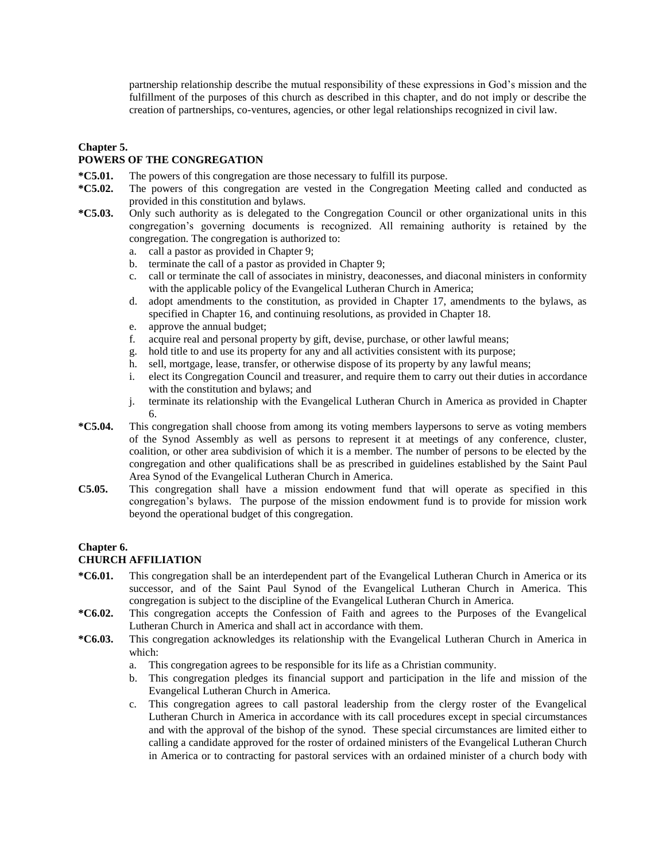partnership relationship describe the mutual responsibility of these expressions in God's mission and the fulfillment of the purposes of this church as described in this chapter, and do not imply or describe the creation of partnerships, co-ventures, agencies, or other legal relationships recognized in civil law.

## **Chapter 5.**

## **POWERS OF THE CONGREGATION**

- **\*C5.01.** The powers of this congregation are those necessary to fulfill its purpose.
- **\*C5.02.** The powers of this congregation are vested in the Congregation Meeting called and conducted as provided in this constitution and bylaws.
- **\*C5.03.** Only such authority as is delegated to the Congregation Council or other organizational units in this congregation's governing documents is recognized. All remaining authority is retained by the congregation. The congregation is authorized to:
	- a. call a pastor as provided in Chapter 9;
	- b. terminate the call of a pastor as provided in Chapter 9;
	- c. call or terminate the call of associates in ministry, deaconesses, and diaconal ministers in conformity with the applicable policy of the Evangelical Lutheran Church in America;
	- d. adopt amendments to the constitution, as provided in Chapter 17, amendments to the bylaws, as specified in Chapter 16, and continuing resolutions, as provided in Chapter 18.
	- e. approve the annual budget;
	- f. acquire real and personal property by gift, devise, purchase, or other lawful means;
	- g. hold title to and use its property for any and all activities consistent with its purpose;
	- h. sell, mortgage, lease, transfer, or otherwise dispose of its property by any lawful means;
	- i. elect its Congregation Council and treasurer, and require them to carry out their duties in accordance with the constitution and bylaws; and
	- j. terminate its relationship with the Evangelical Lutheran Church in America as provided in Chapter 6.
- **\*C5.04.** This congregation shall choose from among its voting members laypersons to serve as voting members of the Synod Assembly as well as persons to represent it at meetings of any conference, cluster, coalition, or other area subdivision of which it is a member. The number of persons to be elected by the congregation and other qualifications shall be as prescribed in guidelines established by the Saint Paul Area Synod of the Evangelical Lutheran Church in America.
- **C5.05.** This congregation shall have a mission endowment fund that will operate as specified in this congregation's bylaws. The purpose of the mission endowment fund is to provide for mission work beyond the operational budget of this congregation.

#### **Chapter 6. CHURCH AFFILIATION**

- **\*C6.01.** This congregation shall be an interdependent part of the Evangelical Lutheran Church in America or its successor, and of the Saint Paul Synod of the Evangelical Lutheran Church in America. This congregation is subject to the discipline of the Evangelical Lutheran Church in America.
- **\*C6.02.** This congregation accepts the Confession of Faith and agrees to the Purposes of the Evangelical Lutheran Church in America and shall act in accordance with them.
- **\*C6.03.** This congregation acknowledges its relationship with the Evangelical Lutheran Church in America in which:
	- a. This congregation agrees to be responsible for its life as a Christian community.
	- b. This congregation pledges its financial support and participation in the life and mission of the Evangelical Lutheran Church in America.
	- c. This congregation agrees to call pastoral leadership from the clergy roster of the Evangelical Lutheran Church in America in accordance with its call procedures except in special circumstances and with the approval of the bishop of the synod. These special circumstances are limited either to calling a candidate approved for the roster of ordained ministers of the Evangelical Lutheran Church in America or to contracting for pastoral services with an ordained minister of a church body with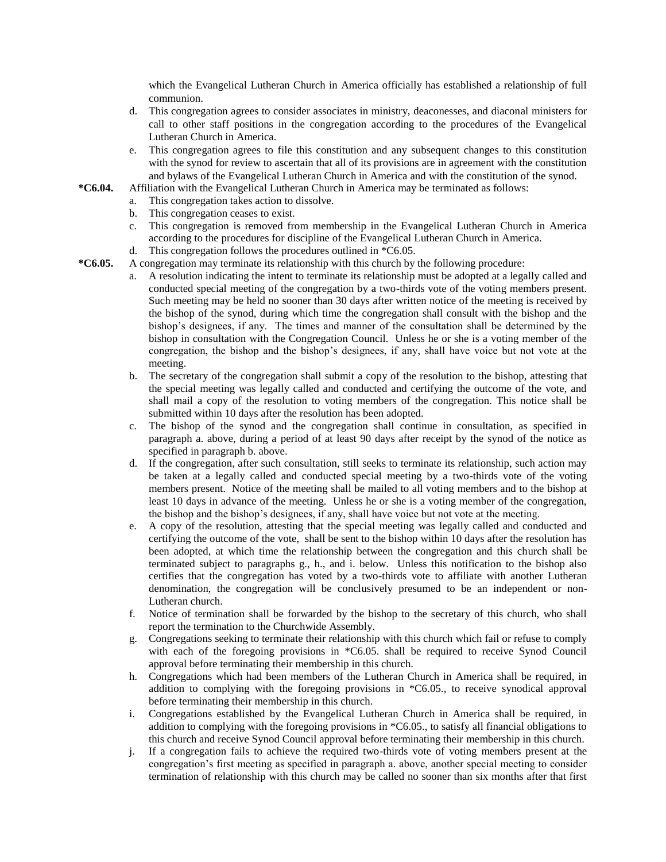which the Evangelical Lutheran Church in America officially has established a relationship of full communion.

- d. This congregation agrees to consider associates in ministry, deaconesses, and diaconal ministers for call to other staff positions in the congregation according to the procedures of the Evangelical Lutheran Church in America.
- e. This congregation agrees to file this constitution and any subsequent changes to this constitution with the synod for review to ascertain that all of its provisions are in agreement with the constitution and bylaws of the Evangelical Lutheran Church in America and with the constitution of the synod.
- **\*C6.04.** Affiliation with the Evangelical Lutheran Church in America may be terminated as follows:
	- a. This congregation takes action to dissolve.
	- b. This congregation ceases to exist.
	- c. This congregation is removed from membership in the Evangelical Lutheran Church in America according to the procedures for discipline of the Evangelical Lutheran Church in America.
	- d. This congregation follows the procedures outlined in \*C6.05.
- **\*C6.05.** A congregation may terminate its relationship with this church by the following procedure:
	- a. A resolution indicating the intent to terminate its relationship must be adopted at a legally called and conducted special meeting of the congregation by a two-thirds vote of the voting members present. Such meeting may be held no sooner than 30 days after written notice of the meeting is received by the bishop of the synod, during which time the congregation shall consult with the bishop and the bishop's designees, if any. The times and manner of the consultation shall be determined by the bishop in consultation with the Congregation Council. Unless he or she is a voting member of the congregation, the bishop and the bishop's designees, if any, shall have voice but not vote at the meeting.
	- b. The secretary of the congregation shall submit a copy of the resolution to the bishop, attesting that the special meeting was legally called and conducted and certifying the outcome of the vote, and shall mail a copy of the resolution to voting members of the congregation. This notice shall be submitted within 10 days after the resolution has been adopted.
	- c. The bishop of the synod and the congregation shall continue in consultation, as specified in paragraph a. above, during a period of at least 90 days after receipt by the synod of the notice as specified in paragraph b. above.
	- d. If the congregation, after such consultation, still seeks to terminate its relationship, such action may be taken at a legally called and conducted special meeting by a two-thirds vote of the voting members present. Notice of the meeting shall be mailed to all voting members and to the bishop at least 10 days in advance of the meeting. Unless he or she is a voting member of the congregation, the bishop and the bishop's designees, if any, shall have voice but not vote at the meeting.
	- e. A copy of the resolution, attesting that the special meeting was legally called and conducted and certifying the outcome of the vote, shall be sent to the bishop within 10 days after the resolution has been adopted, at which time the relationship between the congregation and this church shall be terminated subject to paragraphs g., h., and i. below. Unless this notification to the bishop also certifies that the congregation has voted by a two-thirds vote to affiliate with another Lutheran denomination, the congregation will be conclusively presumed to be an independent or non-Lutheran church.
	- f. Notice of termination shall be forwarded by the bishop to the secretary of this church, who shall report the termination to the Churchwide Assembly.
	- g. Congregations seeking to terminate their relationship with this church which fail or refuse to comply with each of the foregoing provisions in \*C6.05. shall be required to receive Synod Council approval before terminating their membership in this church.
	- h. Congregations which had been members of the Lutheran Church in America shall be required, in addition to complying with the foregoing provisions in \*C6.05., to receive synodical approval before terminating their membership in this church.
	- i. Congregations established by the Evangelical Lutheran Church in America shall be required, in addition to complying with the foregoing provisions in \*C6.05., to satisfy all financial obligations to this church and receive Synod Council approval before terminating their membership in this church.
	- j. If a congregation fails to achieve the required two-thirds vote of voting members present at the congregation's first meeting as specified in paragraph a. above, another special meeting to consider termination of relationship with this church may be called no sooner than six months after that first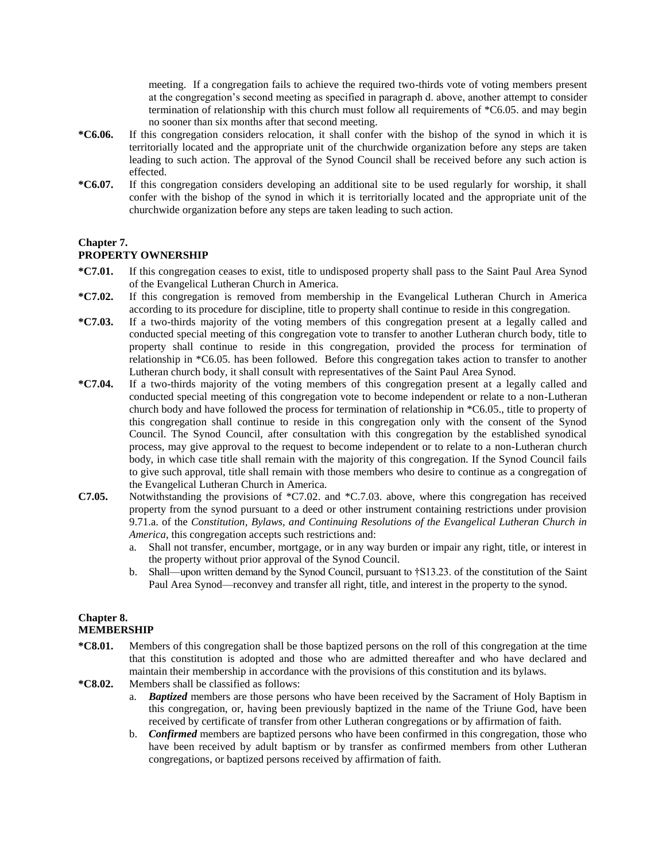meeting. If a congregation fails to achieve the required two-thirds vote of voting members present at the congregation's second meeting as specified in paragraph d. above, another attempt to consider termination of relationship with this church must follow all requirements of \*C6.05. and may begin no sooner than six months after that second meeting.

- **\*C6.06.** If this congregation considers relocation, it shall confer with the bishop of the synod in which it is territorially located and the appropriate unit of the churchwide organization before any steps are taken leading to such action. The approval of the Synod Council shall be received before any such action is effected.
- **\*C6.07.** If this congregation considers developing an additional site to be used regularly for worship, it shall confer with the bishop of the synod in which it is territorially located and the appropriate unit of the churchwide organization before any steps are taken leading to such action.

#### **Chapter 7.**

## **PROPERTY OWNERSHIP**

- **\*C7.01.** If this congregation ceases to exist, title to undisposed property shall pass to the Saint Paul Area Synod of the Evangelical Lutheran Church in America.
- **\*C7.02.** If this congregation is removed from membership in the Evangelical Lutheran Church in America according to its procedure for discipline, title to property shall continue to reside in this congregation.
- **\*C7.03.** If a two-thirds majority of the voting members of this congregation present at a legally called and conducted special meeting of this congregation vote to transfer to another Lutheran church body, title to property shall continue to reside in this congregation, provided the process for termination of relationship in \*C6.05. has been followed. Before this congregation takes action to transfer to another Lutheran church body, it shall consult with representatives of the Saint Paul Area Synod.
- **\*C7.04.** If a two-thirds majority of the voting members of this congregation present at a legally called and conducted special meeting of this congregation vote to become independent or relate to a non-Lutheran church body and have followed the process for termination of relationship in \*C6.05., title to property of this congregation shall continue to reside in this congregation only with the consent of the Synod Council. The Synod Council, after consultation with this congregation by the established synodical process, may give approval to the request to become independent or to relate to a non-Lutheran church body, in which case title shall remain with the majority of this congregation. If the Synod Council fails to give such approval, title shall remain with those members who desire to continue as a congregation of the Evangelical Lutheran Church in America.
- **C7.05.** Notwithstanding the provisions of \*C7.02. and \*C.7.03. above, where this congregation has received property from the synod pursuant to a deed or other instrument containing restrictions under provision 9.71.a. of the *Constitution, Bylaws, and Continuing Resolutions of the Evangelical Lutheran Church in America*, this congregation accepts such restrictions and:
	- a. Shall not transfer, encumber, mortgage, or in any way burden or impair any right, title, or interest in the property without prior approval of the Synod Council.
	- b. Shall—upon written demand by the Synod Council, pursuant to †S13.23. of the constitution of the Saint Paul Area Synod—reconvey and transfer all right, title, and interest in the property to the synod.

#### **Chapter 8. MEMBERSHIP**

- **\*C8.01.** Members of this congregation shall be those baptized persons on the roll of this congregation at the time that this constitution is adopted and those who are admitted thereafter and who have declared and maintain their membership in accordance with the provisions of this constitution and its bylaws.
- **\*C8.02.** Members shall be classified as follows:
	- a. *Baptized* members are those persons who have been received by the Sacrament of Holy Baptism in this congregation, or, having been previously baptized in the name of the Triune God, have been received by certificate of transfer from other Lutheran congregations or by affirmation of faith.
	- b. *Confirmed* members are baptized persons who have been confirmed in this congregation, those who have been received by adult baptism or by transfer as confirmed members from other Lutheran congregations, or baptized persons received by affirmation of faith.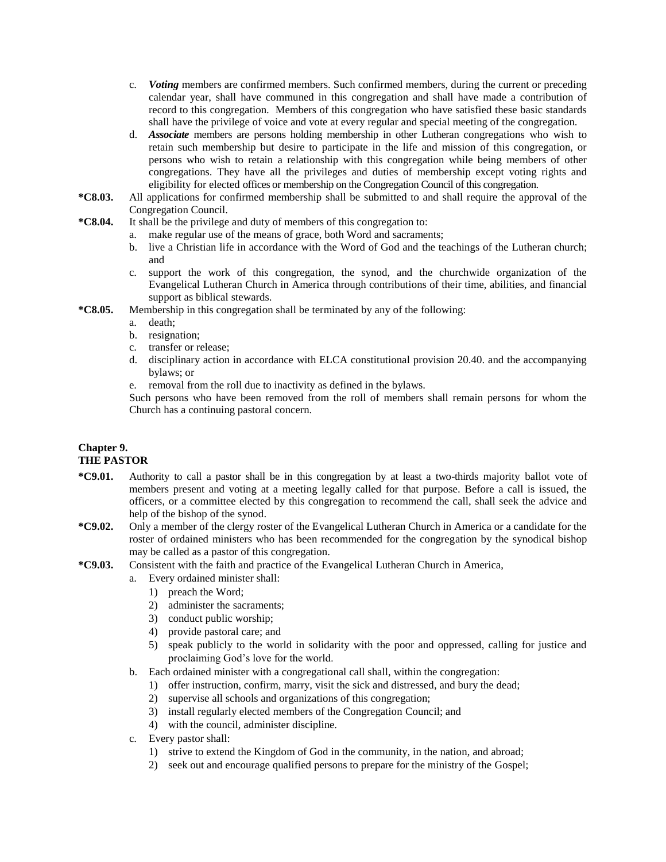- c. *Voting* members are confirmed members. Such confirmed members, during the current or preceding calendar year, shall have communed in this congregation and shall have made a contribution of record to this congregation. Members of this congregation who have satisfied these basic standards shall have the privilege of voice and vote at every regular and special meeting of the congregation.
- d. *Associate* members are persons holding membership in other Lutheran congregations who wish to retain such membership but desire to participate in the life and mission of this congregation, or persons who wish to retain a relationship with this congregation while being members of other congregations. They have all the privileges and duties of membership except voting rights and eligibility for elected offices or membership on the Congregation Council of this congregation.
- **\*C8.03.** All applications for confirmed membership shall be submitted to and shall require the approval of the Congregation Council.
- **\*C8.04.** It shall be the privilege and duty of members of this congregation to:
	- a. make regular use of the means of grace, both Word and sacraments;
		- b. live a Christian life in accordance with the Word of God and the teachings of the Lutheran church; and
		- c. support the work of this congregation, the synod, and the churchwide organization of the Evangelical Lutheran Church in America through contributions of their time, abilities, and financial support as biblical stewards.
- **\*C8.05.** Membership in this congregation shall be terminated by any of the following:
	- a. death;
	- b. resignation;
	- c. transfer or release;
	- d. disciplinary action in accordance with ELCA constitutional provision 20.40. and the accompanying bylaws; or
	- e. removal from the roll due to inactivity as defined in the bylaws.

Such persons who have been removed from the roll of members shall remain persons for whom the Church has a continuing pastoral concern.

#### **Chapter 9. THE PASTOR**

- **\*C9.01.** Authority to call a pastor shall be in this congregation by at least a two-thirds majority ballot vote of members present and voting at a meeting legally called for that purpose. Before a call is issued, the officers, or a committee elected by this congregation to recommend the call, shall seek the advice and help of the bishop of the synod.
- **\*C9.02.** Only a member of the clergy roster of the Evangelical Lutheran Church in America or a candidate for the roster of ordained ministers who has been recommended for the congregation by the synodical bishop may be called as a pastor of this congregation.
- **\*C9.03.** Consistent with the faith and practice of the Evangelical Lutheran Church in America,
	- a. Every ordained minister shall:
		- 1) preach the Word;
		- 2) administer the sacraments;
		- 3) conduct public worship;
		- 4) provide pastoral care; and
		- 5) speak publicly to the world in solidarity with the poor and oppressed, calling for justice and proclaiming God's love for the world.
	- b. Each ordained minister with a congregational call shall, within the congregation:
		- 1) offer instruction, confirm, marry, visit the sick and distressed, and bury the dead;
		- 2) supervise all schools and organizations of this congregation;
		- 3) install regularly elected members of the Congregation Council; and
		- 4) with the council, administer discipline.
	- c. Every pastor shall:
		- 1) strive to extend the Kingdom of God in the community, in the nation, and abroad;
		- 2) seek out and encourage qualified persons to prepare for the ministry of the Gospel;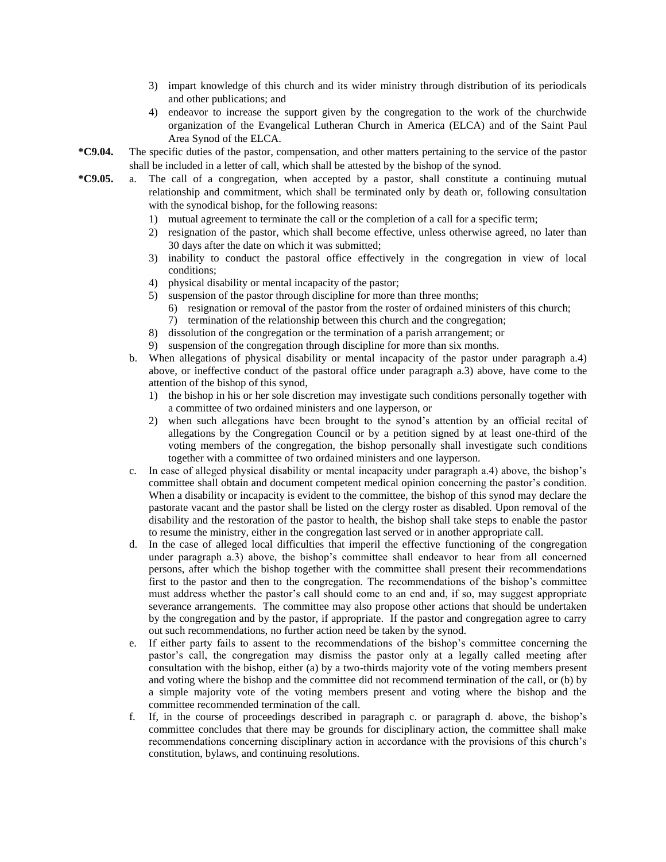- 3) impart knowledge of this church and its wider ministry through distribution of its periodicals and other publications; and
- 4) endeavor to increase the support given by the congregation to the work of the churchwide organization of the Evangelical Lutheran Church in America (ELCA) and of the Saint Paul Area Synod of the ELCA.
- **\*C9.04.** The specific duties of the pastor, compensation, and other matters pertaining to the service of the pastor shall be included in a letter of call, which shall be attested by the bishop of the synod.
- **\*C9.05.** a. The call of a congregation, when accepted by a pastor, shall constitute a continuing mutual relationship and commitment, which shall be terminated only by death or, following consultation with the synodical bishop, for the following reasons:
	- 1) mutual agreement to terminate the call or the completion of a call for a specific term;
	- 2) resignation of the pastor, which shall become effective, unless otherwise agreed, no later than 30 days after the date on which it was submitted;
	- 3) inability to conduct the pastoral office effectively in the congregation in view of local conditions;
	- 4) physical disability or mental incapacity of the pastor;
	- 5) suspension of the pastor through discipline for more than three months;
		- 6) resignation or removal of the pastor from the roster of ordained ministers of this church;
		- 7) termination of the relationship between this church and the congregation;
	- 8) dissolution of the congregation or the termination of a parish arrangement; or
	- 9) suspension of the congregation through discipline for more than six months.
	- b. When allegations of physical disability or mental incapacity of the pastor under paragraph a.4) above, or ineffective conduct of the pastoral office under paragraph a.3) above, have come to the attention of the bishop of this synod,
		- 1) the bishop in his or her sole discretion may investigate such conditions personally together with a committee of two ordained ministers and one layperson, or
		- 2) when such allegations have been brought to the synod's attention by an official recital of allegations by the Congregation Council or by a petition signed by at least one-third of the voting members of the congregation, the bishop personally shall investigate such conditions together with a committee of two ordained ministers and one layperson.
	- c. In case of alleged physical disability or mental incapacity under paragraph a.4) above, the bishop's committee shall obtain and document competent medical opinion concerning the pastor's condition. When a disability or incapacity is evident to the committee, the bishop of this synod may declare the pastorate vacant and the pastor shall be listed on the clergy roster as disabled. Upon removal of the disability and the restoration of the pastor to health, the bishop shall take steps to enable the pastor to resume the ministry, either in the congregation last served or in another appropriate call.
	- d. In the case of alleged local difficulties that imperil the effective functioning of the congregation under paragraph a.3) above, the bishop's committee shall endeavor to hear from all concerned persons, after which the bishop together with the committee shall present their recommendations first to the pastor and then to the congregation. The recommendations of the bishop's committee must address whether the pastor's call should come to an end and, if so, may suggest appropriate severance arrangements. The committee may also propose other actions that should be undertaken by the congregation and by the pastor, if appropriate. If the pastor and congregation agree to carry out such recommendations, no further action need be taken by the synod.
	- e. If either party fails to assent to the recommendations of the bishop's committee concerning the pastor's call, the congregation may dismiss the pastor only at a legally called meeting after consultation with the bishop, either (a) by a two-thirds majority vote of the voting members present and voting where the bishop and the committee did not recommend termination of the call, or (b) by a simple majority vote of the voting members present and voting where the bishop and the committee recommended termination of the call.
	- f. If, in the course of proceedings described in paragraph c. or paragraph d. above, the bishop's committee concludes that there may be grounds for disciplinary action, the committee shall make recommendations concerning disciplinary action in accordance with the provisions of this church's constitution, bylaws, and continuing resolutions.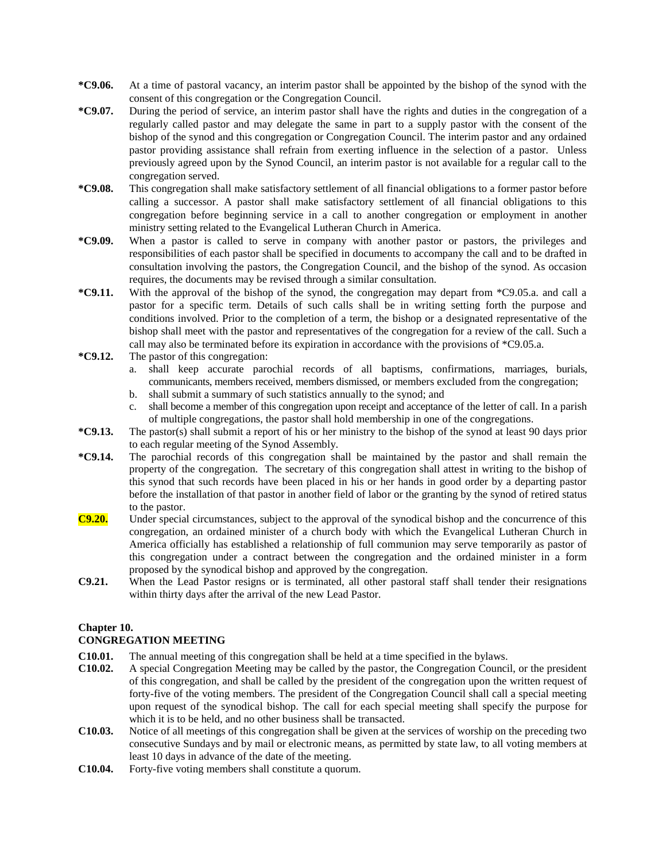- **\*C9.06.** At a time of pastoral vacancy, an interim pastor shall be appointed by the bishop of the synod with the consent of this congregation or the Congregation Council.
- **\*C9.07.** During the period of service, an interim pastor shall have the rights and duties in the congregation of a regularly called pastor and may delegate the same in part to a supply pastor with the consent of the bishop of the synod and this congregation or Congregation Council. The interim pastor and any ordained pastor providing assistance shall refrain from exerting influence in the selection of a pastor. Unless previously agreed upon by the Synod Council, an interim pastor is not available for a regular call to the congregation served.
- **\*C9.08.** This congregation shall make satisfactory settlement of all financial obligations to a former pastor before calling a successor. A pastor shall make satisfactory settlement of all financial obligations to this congregation before beginning service in a call to another congregation or employment in another ministry setting related to the Evangelical Lutheran Church in America.
- **\*C9.09.** When a pastor is called to serve in company with another pastor or pastors, the privileges and responsibilities of each pastor shall be specified in documents to accompany the call and to be drafted in consultation involving the pastors, the Congregation Council, and the bishop of the synod. As occasion requires, the documents may be revised through a similar consultation.
- **\*C9.11.** With the approval of the bishop of the synod, the congregation may depart from \*C9.05.a. and call a pastor for a specific term. Details of such calls shall be in writing setting forth the purpose and conditions involved. Prior to the completion of a term, the bishop or a designated representative of the bishop shall meet with the pastor and representatives of the congregation for a review of the call. Such a call may also be terminated before its expiration in accordance with the provisions of \*C9.05.a.
- **\*C9.12.** The pastor of this congregation:
	- a. shall keep accurate parochial records of all baptisms, confirmations, marriages, burials, communicants, members received, members dismissed, or members excluded from the congregation;
	- b. shall submit a summary of such statistics annually to the synod; and
	- c. shall become a member of this congregation upon receipt and acceptance of the letter of call. In a parish of multiple congregations, the pastor shall hold membership in one of the congregations.
- **\*C9.13.** The pastor(s) shall submit a report of his or her ministry to the bishop of the synod at least 90 days prior to each regular meeting of the Synod Assembly.
- **\*C9.14.** The parochial records of this congregation shall be maintained by the pastor and shall remain the property of the congregation. The secretary of this congregation shall attest in writing to the bishop of this synod that such records have been placed in his or her hands in good order by a departing pastor before the installation of that pastor in another field of labor or the granting by the synod of retired status to the pastor.
- **C9.20.** Under special circumstances, subject to the approval of the synodical bishop and the concurrence of this congregation, an ordained minister of a church body with which the Evangelical Lutheran Church in America officially has established a relationship of full communion may serve temporarily as pastor of this congregation under a contract between the congregation and the ordained minister in a form proposed by the synodical bishop and approved by the congregation.
- **C9.21.** When the Lead Pastor resigns or is terminated, all other pastoral staff shall tender their resignations within thirty days after the arrival of the new Lead Pastor.

## **Chapter 10.**

## **CONGREGATION MEETING**

- **C10.01.** The annual meeting of this congregation shall be held at a time specified in the bylaws.
- **C10.02.** A special Congregation Meeting may be called by the pastor, the Congregation Council, or the president of this congregation, and shall be called by the president of the congregation upon the written request of forty-five of the voting members. The president of the Congregation Council shall call a special meeting upon request of the synodical bishop. The call for each special meeting shall specify the purpose for which it is to be held, and no other business shall be transacted.
- **C10.03.** Notice of all meetings of this congregation shall be given at the services of worship on the preceding two consecutive Sundays and by mail or electronic means, as permitted by state law, to all voting members at least 10 days in advance of the date of the meeting.
- **C10.04.** Forty-five voting members shall constitute a quorum.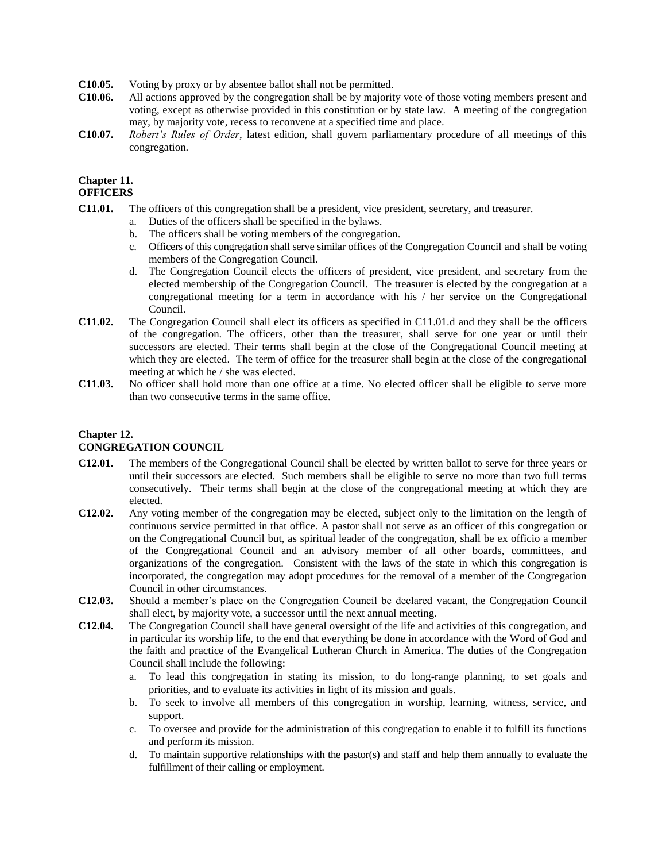- **C10.05.** Voting by proxy or by absentee ballot shall not be permitted.
- **C10.06.** All actions approved by the congregation shall be by majority vote of those voting members present and voting, except as otherwise provided in this constitution or by state law. A meeting of the congregation may, by majority vote, recess to reconvene at a specified time and place.
- **C10.07.** *Robert's Rules of Order*, latest edition, shall govern parliamentary procedure of all meetings of this congregation.

#### **Chapter 11. OFFICERS**

- **C11.01.** The officers of this congregation shall be a president, vice president, secretary, and treasurer.
	- a. Duties of the officers shall be specified in the bylaws.
	- b. The officers shall be voting members of the congregation.
	- c. Officers of this congregation shall serve similar offices of the Congregation Council and shall be voting members of the Congregation Council.
	- d. The Congregation Council elects the officers of president, vice president, and secretary from the elected membership of the Congregation Council. The treasurer is elected by the congregation at a congregational meeting for a term in accordance with his / her service on the Congregational Council.
- **C11.02.** The Congregation Council shall elect its officers as specified in C11.01.d and they shall be the officers of the congregation. The officers, other than the treasurer, shall serve for one year or until their successors are elected. Their terms shall begin at the close of the Congregational Council meeting at which they are elected. The term of office for the treasurer shall begin at the close of the congregational meeting at which he / she was elected.
- **C11.03.** No officer shall hold more than one office at a time. No elected officer shall be eligible to serve more than two consecutive terms in the same office.

## **Chapter 12.**

## **CONGREGATION COUNCIL**

- **C12.01.** The members of the Congregational Council shall be elected by written ballot to serve for three years or until their successors are elected. Such members shall be eligible to serve no more than two full terms consecutively. Their terms shall begin at the close of the congregational meeting at which they are elected.
- **C12.02.** Any voting member of the congregation may be elected, subject only to the limitation on the length of continuous service permitted in that office. A pastor shall not serve as an officer of this congregation or on the Congregational Council but, as spiritual leader of the congregation, shall be ex officio a member of the Congregational Council and an advisory member of all other boards, committees, and organizations of the congregation. Consistent with the laws of the state in which this congregation is incorporated, the congregation may adopt procedures for the removal of a member of the Congregation Council in other circumstances.
- **C12.03.** Should a member's place on the Congregation Council be declared vacant, the Congregation Council shall elect, by majority vote, a successor until the next annual meeting.
- **C12.04.** The Congregation Council shall have general oversight of the life and activities of this congregation, and in particular its worship life, to the end that everything be done in accordance with the Word of God and the faith and practice of the Evangelical Lutheran Church in America. The duties of the Congregation Council shall include the following:
	- a. To lead this congregation in stating its mission, to do long-range planning, to set goals and priorities, and to evaluate its activities in light of its mission and goals.
	- b. To seek to involve all members of this congregation in worship, learning, witness, service, and support.
	- c. To oversee and provide for the administration of this congregation to enable it to fulfill its functions and perform its mission.
	- d. To maintain supportive relationships with the pastor(s) and staff and help them annually to evaluate the fulfillment of their calling or employment.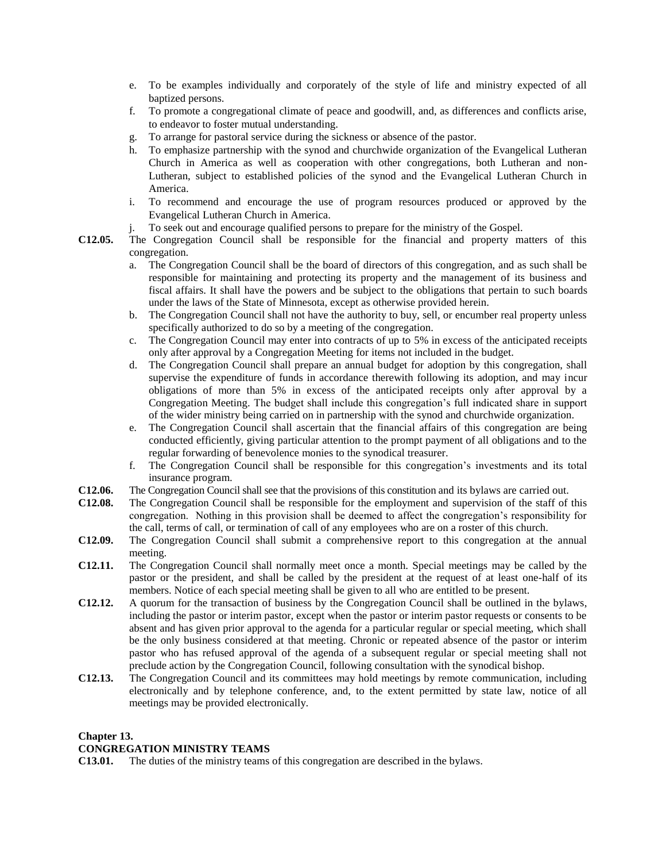- e. To be examples individually and corporately of the style of life and ministry expected of all baptized persons.
- f. To promote a congregational climate of peace and goodwill, and, as differences and conflicts arise, to endeavor to foster mutual understanding.
- g. To arrange for pastoral service during the sickness or absence of the pastor.
- h. To emphasize partnership with the synod and churchwide organization of the Evangelical Lutheran Church in America as well as cooperation with other congregations, both Lutheran and non-Lutheran, subject to established policies of the synod and the Evangelical Lutheran Church in America.
- i. To recommend and encourage the use of program resources produced or approved by the Evangelical Lutheran Church in America.
- j. To seek out and encourage qualified persons to prepare for the ministry of the Gospel.
- **C12.05.** The Congregation Council shall be responsible for the financial and property matters of this congregation.
	- a. The Congregation Council shall be the board of directors of this congregation, and as such shall be responsible for maintaining and protecting its property and the management of its business and fiscal affairs. It shall have the powers and be subject to the obligations that pertain to such boards under the laws of the State of Minnesota, except as otherwise provided herein.
	- b. The Congregation Council shall not have the authority to buy, sell, or encumber real property unless specifically authorized to do so by a meeting of the congregation.
	- c. The Congregation Council may enter into contracts of up to 5% in excess of the anticipated receipts only after approval by a Congregation Meeting for items not included in the budget.
	- d. The Congregation Council shall prepare an annual budget for adoption by this congregation, shall supervise the expenditure of funds in accordance therewith following its adoption, and may incur obligations of more than 5% in excess of the anticipated receipts only after approval by a Congregation Meeting. The budget shall include this congregation's full indicated share in support of the wider ministry being carried on in partnership with the synod and churchwide organization.
	- e. The Congregation Council shall ascertain that the financial affairs of this congregation are being conducted efficiently, giving particular attention to the prompt payment of all obligations and to the regular forwarding of benevolence monies to the synodical treasurer.
	- f. The Congregation Council shall be responsible for this congregation's investments and its total insurance program.
- **C12.06.** The Congregation Council shall see that the provisions of this constitution and its bylaws are carried out.
- **C12.08.** The Congregation Council shall be responsible for the employment and supervision of the staff of this congregation. Nothing in this provision shall be deemed to affect the congregation's responsibility for the call, terms of call, or termination of call of any employees who are on a roster of this church.
- **C12.09.** The Congregation Council shall submit a comprehensive report to this congregation at the annual meeting.
- **C12.11.** The Congregation Council shall normally meet once a month. Special meetings may be called by the pastor or the president, and shall be called by the president at the request of at least one-half of its members. Notice of each special meeting shall be given to all who are entitled to be present.
- **C12.12.** A quorum for the transaction of business by the Congregation Council shall be outlined in the bylaws, including the pastor or interim pastor, except when the pastor or interim pastor requests or consents to be absent and has given prior approval to the agenda for a particular regular or special meeting, which shall be the only business considered at that meeting. Chronic or repeated absence of the pastor or interim pastor who has refused approval of the agenda of a subsequent regular or special meeting shall not preclude action by the Congregation Council, following consultation with the synodical bishop.
- **C12.13.** The Congregation Council and its committees may hold meetings by remote communication, including electronically and by telephone conference, and, to the extent permitted by state law, notice of all meetings may be provided electronically.

## **Chapter 13.**

## **CONGREGATION MINISTRY TEAMS**

**C13.01.** The duties of the ministry teams of this congregation are described in the bylaws.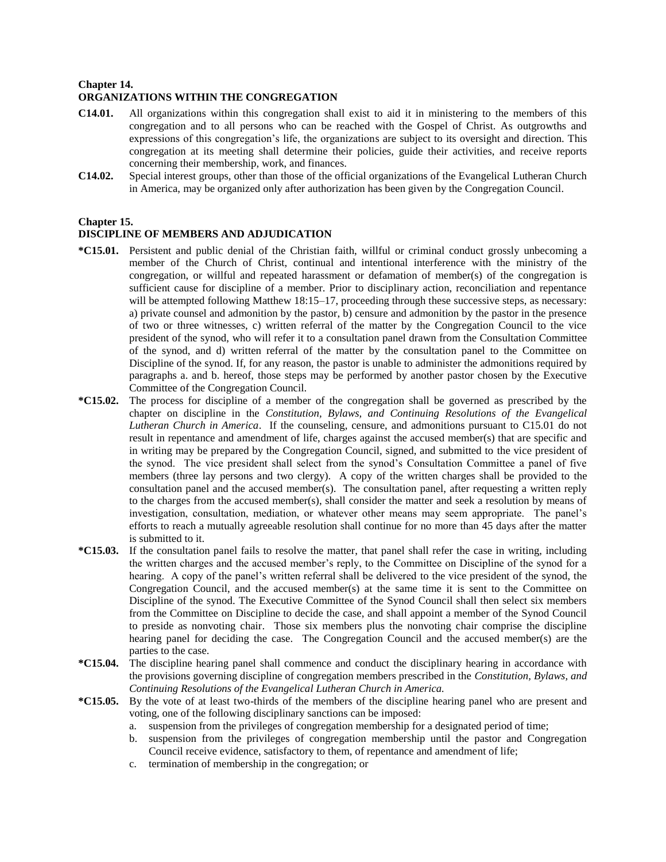#### **Chapter 14.**

## **ORGANIZATIONS WITHIN THE CONGREGATION**

- **C14.01.** All organizations within this congregation shall exist to aid it in ministering to the members of this congregation and to all persons who can be reached with the Gospel of Christ. As outgrowths and expressions of this congregation's life, the organizations are subject to its oversight and direction. This congregation at its meeting shall determine their policies, guide their activities, and receive reports concerning their membership, work, and finances.
- **C14.02.** Special interest groups, other than those of the official organizations of the Evangelical Lutheran Church in America, may be organized only after authorization has been given by the Congregation Council.

#### **Chapter 15.**

## **DISCIPLINE OF MEMBERS AND ADJUDICATION**

- **\*C15.01.** Persistent and public denial of the Christian faith, willful or criminal conduct grossly unbecoming a member of the Church of Christ, continual and intentional interference with the ministry of the congregation, or willful and repeated harassment or defamation of member(s) of the congregation is sufficient cause for discipline of a member. Prior to disciplinary action, reconciliation and repentance will be attempted following Matthew 18:15–17, proceeding through these successive steps, as necessary: a) private counsel and admonition by the pastor, b) censure and admonition by the pastor in the presence of two or three witnesses, c) written referral of the matter by the Congregation Council to the vice president of the synod, who will refer it to a consultation panel drawn from the Consultation Committee of the synod, and d) written referral of the matter by the consultation panel to the Committee on Discipline of the synod. If, for any reason, the pastor is unable to administer the admonitions required by paragraphs a. and b. hereof, those steps may be performed by another pastor chosen by the Executive Committee of the Congregation Council.
- **\*C15.02.** The process for discipline of a member of the congregation shall be governed as prescribed by the chapter on discipline in the *Constitution, Bylaws, and Continuing Resolutions of the Evangelical Lutheran Church in America*. If the counseling, censure, and admonitions pursuant to C15.01 do not result in repentance and amendment of life, charges against the accused member(s) that are specific and in writing may be prepared by the Congregation Council, signed, and submitted to the vice president of the synod. The vice president shall select from the synod's Consultation Committee a panel of five members (three lay persons and two clergy). A copy of the written charges shall be provided to the consultation panel and the accused member(s). The consultation panel, after requesting a written reply to the charges from the accused member(s), shall consider the matter and seek a resolution by means of investigation, consultation, mediation, or whatever other means may seem appropriate. The panel's efforts to reach a mutually agreeable resolution shall continue for no more than 45 days after the matter is submitted to it.
- **\*C15.03.** If the consultation panel fails to resolve the matter, that panel shall refer the case in writing, including the written charges and the accused member's reply, to the Committee on Discipline of the synod for a hearing. A copy of the panel's written referral shall be delivered to the vice president of the synod, the Congregation Council, and the accused member(s) at the same time it is sent to the Committee on Discipline of the synod. The Executive Committee of the Synod Council shall then select six members from the Committee on Discipline to decide the case, and shall appoint a member of the Synod Council to preside as nonvoting chair. Those six members plus the nonvoting chair comprise the discipline hearing panel for deciding the case. The Congregation Council and the accused member(s) are the parties to the case.
- **\*C15.04.** The discipline hearing panel shall commence and conduct the disciplinary hearing in accordance with the provisions governing discipline of congregation members prescribed in the *Constitution, Bylaws, and Continuing Resolutions of the Evangelical Lutheran Church in America.*
- **\*C15.05.** By the vote of at least two-thirds of the members of the discipline hearing panel who are present and voting, one of the following disciplinary sanctions can be imposed:
	- a. suspension from the privileges of congregation membership for a designated period of time;
	- b. suspension from the privileges of congregation membership until the pastor and Congregation Council receive evidence, satisfactory to them, of repentance and amendment of life;
	- c. termination of membership in the congregation; or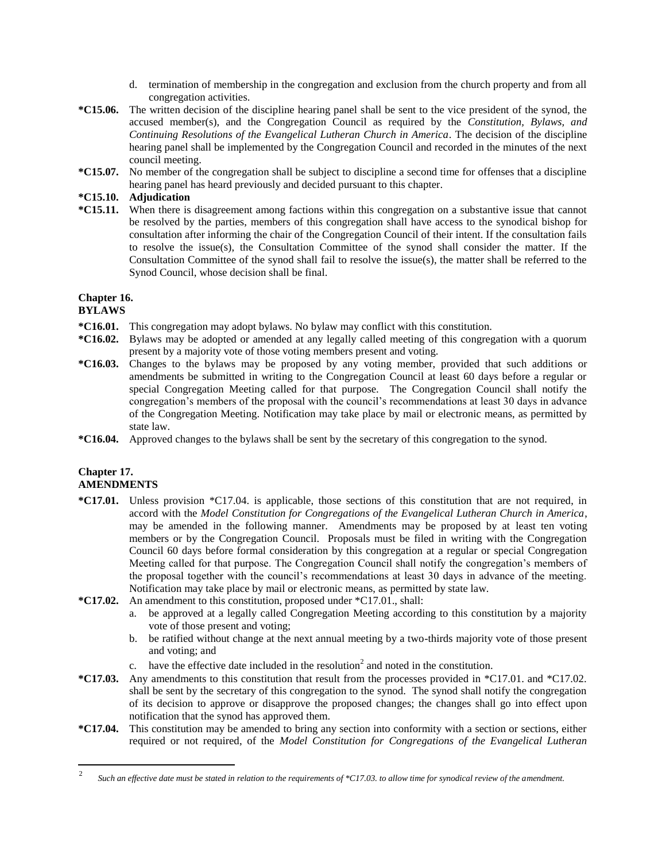- d. termination of membership in the congregation and exclusion from the church property and from all congregation activities.
- **\*C15.06.** The written decision of the discipline hearing panel shall be sent to the vice president of the synod, the accused member(s), and the Congregation Council as required by the *Constitution, Bylaws, and Continuing Resolutions of the Evangelical Lutheran Church in America*. The decision of the discipline hearing panel shall be implemented by the Congregation Council and recorded in the minutes of the next council meeting.
- **\*C15.07.** No member of the congregation shall be subject to discipline a second time for offenses that a discipline hearing panel has heard previously and decided pursuant to this chapter.

## **\*C15.10. Adjudication**

**\*C15.11.** When there is disagreement among factions within this congregation on a substantive issue that cannot be resolved by the parties, members of this congregation shall have access to the synodical bishop for consultation after informing the chair of the Congregation Council of their intent. If the consultation fails to resolve the issue(s), the Consultation Committee of the synod shall consider the matter. If the Consultation Committee of the synod shall fail to resolve the issue(s), the matter shall be referred to the Synod Council, whose decision shall be final.

## **Chapter 16.**

#### **BYLAWS**

- **\*C16.01.** This congregation may adopt bylaws. No bylaw may conflict with this constitution.
- **\*C16.02.** Bylaws may be adopted or amended at any legally called meeting of this congregation with a quorum present by a majority vote of those voting members present and voting.
- **\*C16.03.** Changes to the bylaws may be proposed by any voting member, provided that such additions or amendments be submitted in writing to the Congregation Council at least 60 days before a regular or special Congregation Meeting called for that purpose. The Congregation Council shall notify the congregation's members of the proposal with the council's recommendations at least 30 days in advance of the Congregation Meeting. Notification may take place by mail or electronic means, as permitted by state law.
- **\*C16.04.** Approved changes to the bylaws shall be sent by the secretary of this congregation to the synod.

## **Chapter 17. AMENDMENTS**

- **\*C17.01.** Unless provision \*C17.04. is applicable, those sections of this constitution that are not required, in accord with the *Model Constitution for Congregations of the Evangelical Lutheran Church in America*, may be amended in the following manner. Amendments may be proposed by at least ten voting members or by the Congregation Council. Proposals must be filed in writing with the Congregation Council 60 days before formal consideration by this congregation at a regular or special Congregation Meeting called for that purpose. The Congregation Council shall notify the congregation's members of the proposal together with the council's recommendations at least 30 days in advance of the meeting. Notification may take place by mail or electronic means, as permitted by state law.
- **\*C17.02.** An amendment to this constitution, proposed under \*C17.01., shall:
	- a. be approved at a legally called Congregation Meeting according to this constitution by a majority vote of those present and voting;
	- b. be ratified without change at the next annual meeting by a two-thirds majority vote of those present and voting; and
	- c. have the effective date included in the resolution<sup>2</sup> and noted in the constitution.
- **\*C17.03.** Any amendments to this constitution that result from the processes provided in \*C17.01. and \*C17.02. shall be sent by the secretary of this congregation to the synod. The synod shall notify the congregation of its decision to approve or disapprove the proposed changes; the changes shall go into effect upon notification that the synod has approved them.
- **\*C17.04.** This constitution may be amended to bring any section into conformity with a section or sections, either required or not required, of the *Model Constitution for Congregations of the Evangelical Lutheran*

 $\frac{1}{2}$ *Such an effective date must be stated in relation to the requirements of \*C17.03. to allow time for synodical review of the amendment.*